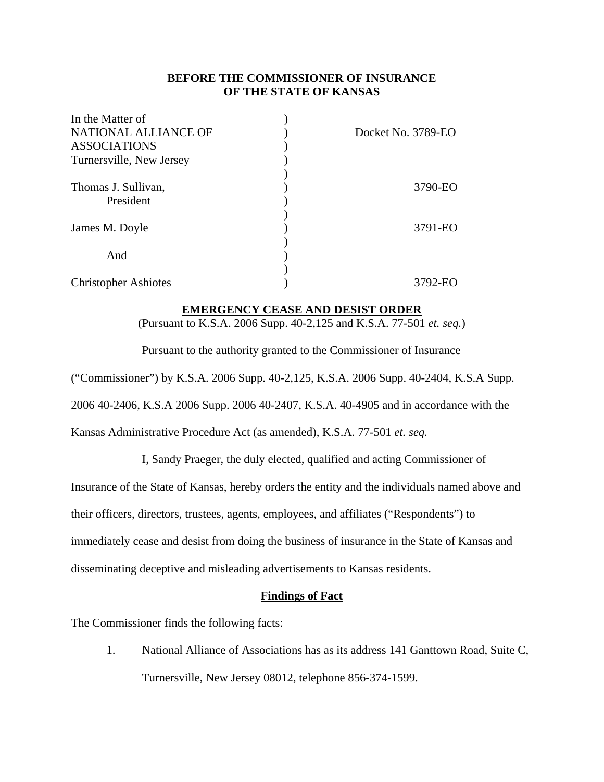#### **BEFORE THE COMMISSIONER OF INSURANCE OF THE STATE OF KANSAS**

| In the Matter of            |                    |
|-----------------------------|--------------------|
| NATIONAL ALLIANCE OF        | Docket No. 3789-EO |
| <b>ASSOCIATIONS</b>         |                    |
| Turnersville, New Jersey    |                    |
|                             |                    |
| Thomas J. Sullivan,         | 3790-EO            |
| President                   |                    |
|                             |                    |
| James M. Doyle              | 3791-EO            |
|                             |                    |
| And                         |                    |
|                             |                    |
| <b>Christopher Ashiotes</b> | 3792-EO            |

#### **EMERGENCY CEASE AND DESIST ORDER**

(Pursuant to K.S.A. 2006 Supp. 40-2,125 and K.S.A. 77-501 *et. seq.*)

Pursuant to the authority granted to the Commissioner of Insurance

("Commissioner") by K.S.A. 2006 Supp. 40-2,125, K.S.A. 2006 Supp. 40-2404, K.S.A Supp.

2006 40-2406, K.S.A 2006 Supp. 2006 40-2407, K.S.A. 40-4905 and in accordance with the

Kansas Administrative Procedure Act (as amended), K.S.A. 77-501 *et. seq.*

I, Sandy Praeger, the duly elected, qualified and acting Commissioner of

Insurance of the State of Kansas, hereby orders the entity and the individuals named above and

their officers, directors, trustees, agents, employees, and affiliates ("Respondents") to

immediately cease and desist from doing the business of insurance in the State of Kansas and

disseminating deceptive and misleading advertisements to Kansas residents.

#### **Findings of Fact**

The Commissioner finds the following facts:

 1. National Alliance of Associations has as its address 141 Ganttown Road, Suite C, Turnersville, New Jersey 08012, telephone 856-374-1599.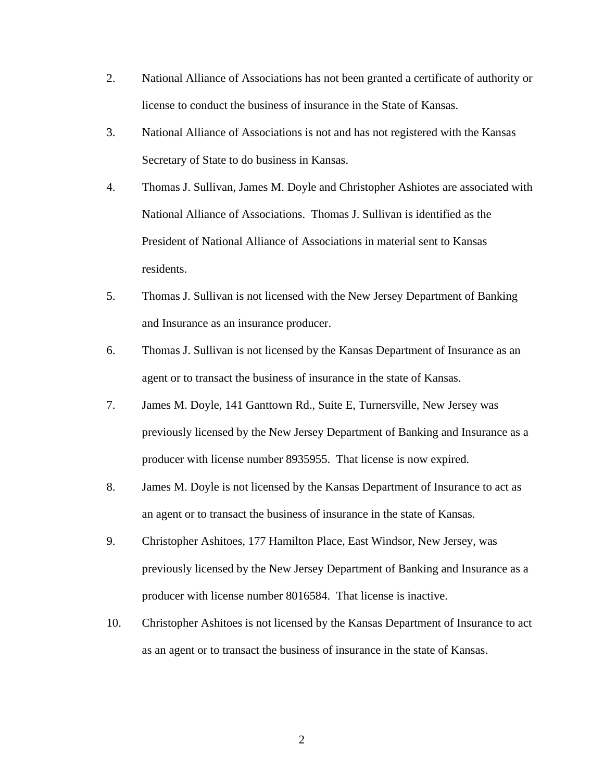- 2. National Alliance of Associations has not been granted a certificate of authority or license to conduct the business of insurance in the State of Kansas.
- 3. National Alliance of Associations is not and has not registered with the Kansas Secretary of State to do business in Kansas.
- 4. Thomas J. Sullivan, James M. Doyle and Christopher Ashiotes are associated with National Alliance of Associations. Thomas J. Sullivan is identified as the President of National Alliance of Associations in material sent to Kansas residents.
- 5. Thomas J. Sullivan is not licensed with the New Jersey Department of Banking and Insurance as an insurance producer.
- 6. Thomas J. Sullivan is not licensed by the Kansas Department of Insurance as an agent or to transact the business of insurance in the state of Kansas.
- 7. James M. Doyle, 141 Ganttown Rd., Suite E, Turnersville, New Jersey was previously licensed by the New Jersey Department of Banking and Insurance as a producer with license number 8935955. That license is now expired.
- 8. James M. Doyle is not licensed by the Kansas Department of Insurance to act as an agent or to transact the business of insurance in the state of Kansas.
- 9. Christopher Ashitoes, 177 Hamilton Place, East Windsor, New Jersey, was previously licensed by the New Jersey Department of Banking and Insurance as a producer with license number 8016584. That license is inactive.
- 10. Christopher Ashitoes is not licensed by the Kansas Department of Insurance to act as an agent or to transact the business of insurance in the state of Kansas.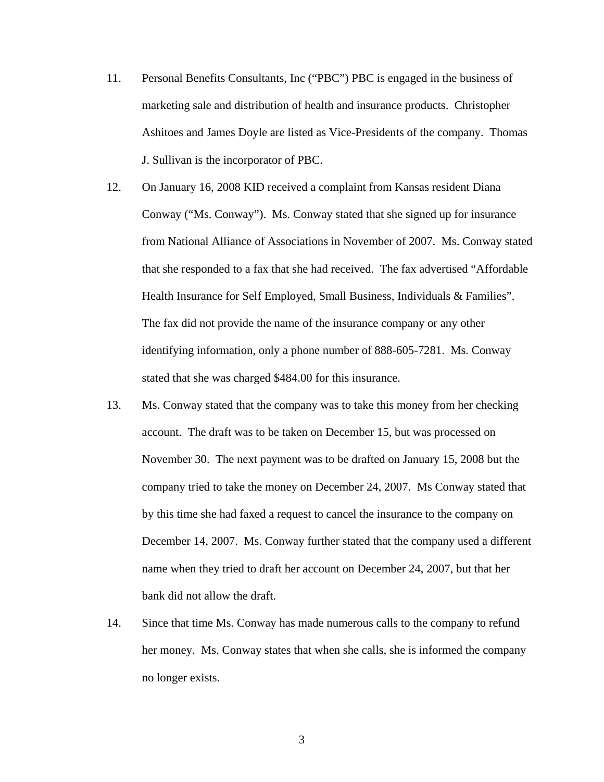11. Personal Benefits Consultants, Inc ("PBC") PBC is engaged in the business of marketing sale and distribution of health and insurance products. Christopher Ashitoes and James Doyle are listed as Vice-Presidents of the company. Thomas J. Sullivan is the incorporator of PBC.

 12. On January 16, 2008 KID received a complaint from Kansas resident Diana Conway ("Ms. Conway"). Ms. Conway stated that she signed up for insurance from National Alliance of Associations in November of 2007. Ms. Conway stated that she responded to a fax that she had received. The fax advertised "Affordable Health Insurance for Self Employed, Small Business, Individuals & Families". The fax did not provide the name of the insurance company or any other identifying information, only a phone number of 888-605-7281. Ms. Conway stated that she was charged \$484.00 for this insurance.

- 13. Ms. Conway stated that the company was to take this money from her checking account. The draft was to be taken on December 15, but was processed on November 30. The next payment was to be drafted on January 15, 2008 but the company tried to take the money on December 24, 2007. Ms Conway stated that by this time she had faxed a request to cancel the insurance to the company on December 14, 2007. Ms. Conway further stated that the company used a different name when they tried to draft her account on December 24, 2007, but that her bank did not allow the draft.
- 14. Since that time Ms. Conway has made numerous calls to the company to refund her money. Ms. Conway states that when she calls, she is informed the company no longer exists.

3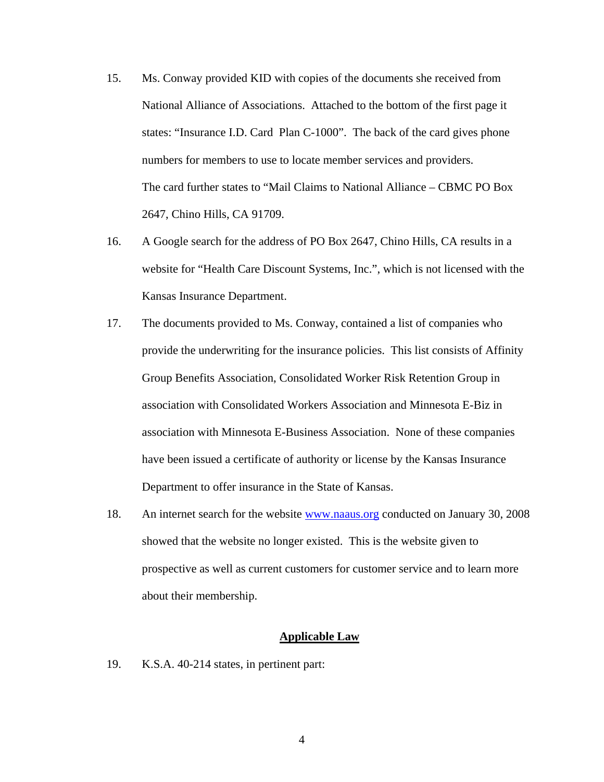- 15. Ms. Conway provided KID with copies of the documents she received from National Alliance of Associations. Attached to the bottom of the first page it states: "Insurance I.D. Card Plan C-1000". The back of the card gives phone numbers for members to use to locate member services and providers. The card further states to "Mail Claims to National Alliance – CBMC PO Box 2647, Chino Hills, CA 91709.
- 16. A Google search for the address of PO Box 2647, Chino Hills, CA results in a website for "Health Care Discount Systems, Inc.", which is not licensed with the Kansas Insurance Department.
- 17. The documents provided to Ms. Conway, contained a list of companies who provide the underwriting for the insurance policies. This list consists of Affinity Group Benefits Association, Consolidated Worker Risk Retention Group in association with Consolidated Workers Association and Minnesota E-Biz in association with Minnesota E-Business Association. None of these companies have been issued a certificate of authority or license by the Kansas Insurance Department to offer insurance in the State of Kansas.
- 18. An internet search for the website www.naaus.org conducted on January 30, 2008 showed that the website no longer existed. This is the website given to prospective as well as current customers for customer service and to learn more about their membership.

#### **Applicable Law**

19. K.S.A. 40-214 states, in pertinent part: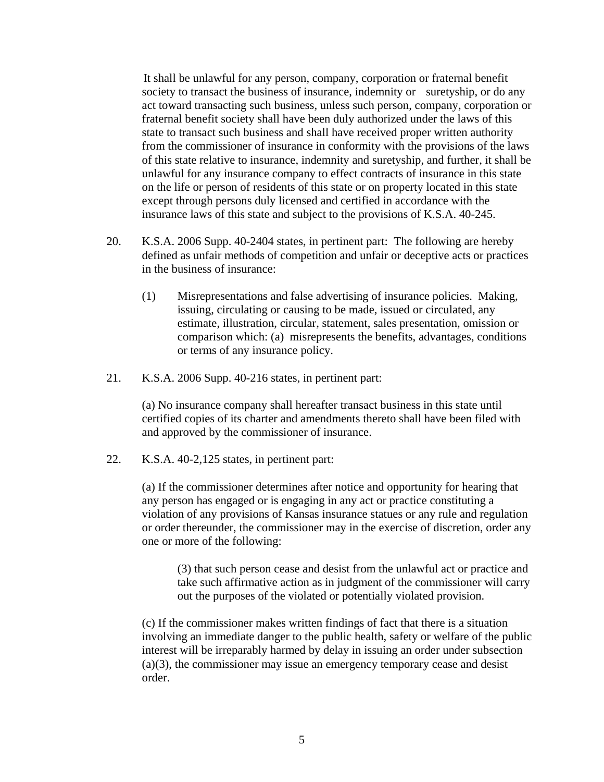It shall be unlawful for any person, company, corporation or fraternal benefit society to transact the business of insurance, indemnity or suretyship, or do any act toward transacting such business, unless such person, company, corporation or fraternal benefit society shall have been duly authorized under the laws of this state to transact such business and shall have received proper written authority from the commissioner of insurance in conformity with the provisions of the laws of this state relative to insurance, indemnity and suretyship, and further, it shall be unlawful for any insurance company to effect contracts of insurance in this state on the life or person of residents of this state or on property located in this state except through persons duly licensed and certified in accordance with the insurance laws of this state and subject to the provisions of K.S.A. 40-245.

- 20. K.S.A. 2006 Supp. 40-2404 states, in pertinent part: The following are hereby defined as unfair methods of competition and unfair or deceptive acts or practices in the business of insurance:
	- (1) Misrepresentations and false advertising of insurance policies. Making, issuing, circulating or causing to be made, issued or circulated, any estimate, illustration, circular, statement, sales presentation, omission or comparison which: (a) misrepresents the benefits, advantages, conditions or terms of any insurance policy.
- 21. K.S.A. 2006 Supp. 40-216 states, in pertinent part:

 (a) No insurance company shall hereafter transact business in this state until certified copies of its charter and amendments thereto shall have been filed with and approved by the commissioner of insurance.

22. K.S.A. 40-2,125 states, in pertinent part:

 (a) If the commissioner determines after notice and opportunity for hearing that any person has engaged or is engaging in any act or practice constituting a violation of any provisions of Kansas insurance statues or any rule and regulation or order thereunder, the commissioner may in the exercise of discretion, order any one or more of the following:

 (3) that such person cease and desist from the unlawful act or practice and take such affirmative action as in judgment of the commissioner will carry out the purposes of the violated or potentially violated provision.

 (c) If the commissioner makes written findings of fact that there is a situation involving an immediate danger to the public health, safety or welfare of the public interest will be irreparably harmed by delay in issuing an order under subsection (a)(3), the commissioner may issue an emergency temporary cease and desist order.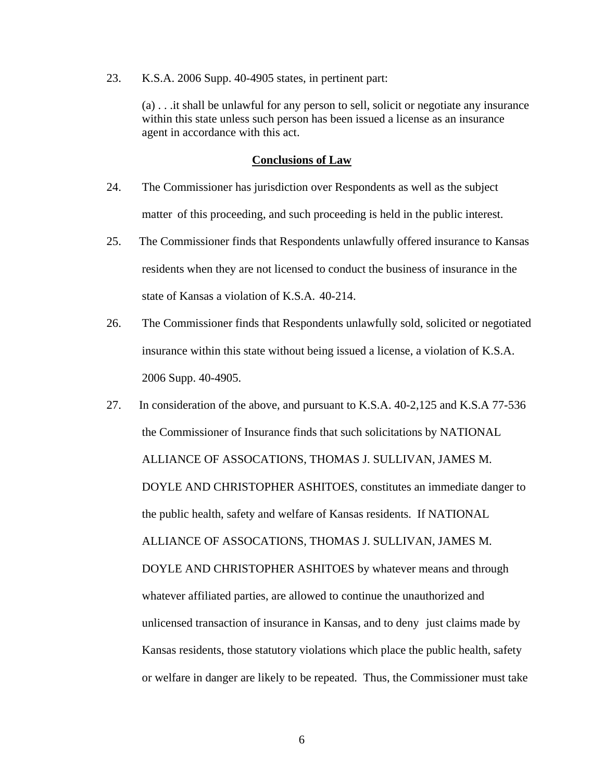23. K.S.A. 2006 Supp. 40-4905 states, in pertinent part:

 (a) . . .it shall be unlawful for any person to sell, solicit or negotiate any insurance within this state unless such person has been issued a license as an insurance agent in accordance with this act.

#### **Conclusions of Law**

- 24. The Commissioner has jurisdiction over Respondents as well as the subject matter of this proceeding, and such proceeding is held in the public interest.
- 25. The Commissioner finds that Respondents unlawfully offered insurance to Kansas residents when they are not licensed to conduct the business of insurance in the state of Kansas a violation of K.S.A. 40-214.
- 26. The Commissioner finds that Respondents unlawfully sold, solicited or negotiated insurance within this state without being issued a license, a violation of K.S.A. 2006 Supp. 40-4905.
- 27. In consideration of the above, and pursuant to K.S.A. 40-2,125 and K.S.A 77-536 the Commissioner of Insurance finds that such solicitations by NATIONAL ALLIANCE OF ASSOCATIONS, THOMAS J. SULLIVAN, JAMES M. DOYLE AND CHRISTOPHER ASHITOES, constitutes an immediate danger to the public health, safety and welfare of Kansas residents. If NATIONAL ALLIANCE OF ASSOCATIONS, THOMAS J. SULLIVAN, JAMES M. DOYLE AND CHRISTOPHER ASHITOES by whatever means and through whatever affiliated parties, are allowed to continue the unauthorized and unlicensed transaction of insurance in Kansas, and to deny just claims made by Kansas residents, those statutory violations which place the public health, safety or welfare in danger are likely to be repeated. Thus, the Commissioner must take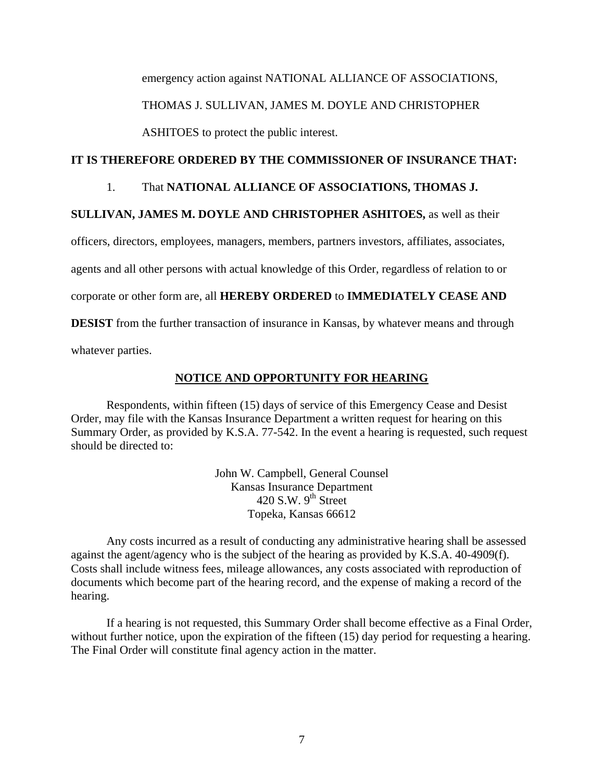emergency action against NATIONAL ALLIANCE OF ASSOCIATIONS,

### THOMAS J. SULLIVAN, JAMES M. DOYLE AND CHRISTOPHER

ASHITOES to protect the public interest.

### **IT IS THEREFORE ORDERED BY THE COMMISSIONER OF INSURANCE THAT:**

#### 1. That **NATIONAL ALLIANCE OF ASSOCIATIONS, THOMAS J.**

## **SULLIVAN, JAMES M. DOYLE AND CHRISTOPHER ASHITOES,** as well as their

officers, directors, employees, managers, members, partners investors, affiliates, associates,

agents and all other persons with actual knowledge of this Order, regardless of relation to or

corporate or other form are, all **HEREBY ORDERED** to **IMMEDIATELY CEASE AND** 

**DESIST** from the further transaction of insurance in Kansas, by whatever means and through

whatever parties.

## **NOTICE AND OPPORTUNITY FOR HEARING**

Respondents, within fifteen (15) days of service of this Emergency Cease and Desist Order, may file with the Kansas Insurance Department a written request for hearing on this Summary Order, as provided by K.S.A. 77-542. In the event a hearing is requested, such request should be directed to:

> John W. Campbell, General Counsel Kansas Insurance Department 420 S.W.  $9^{th}$  Street Topeka, Kansas 66612

Any costs incurred as a result of conducting any administrative hearing shall be assessed against the agent/agency who is the subject of the hearing as provided by K.S.A. 40-4909(f). Costs shall include witness fees, mileage allowances, any costs associated with reproduction of documents which become part of the hearing record, and the expense of making a record of the hearing.

If a hearing is not requested, this Summary Order shall become effective as a Final Order, without further notice, upon the expiration of the fifteen (15) day period for requesting a hearing. The Final Order will constitute final agency action in the matter.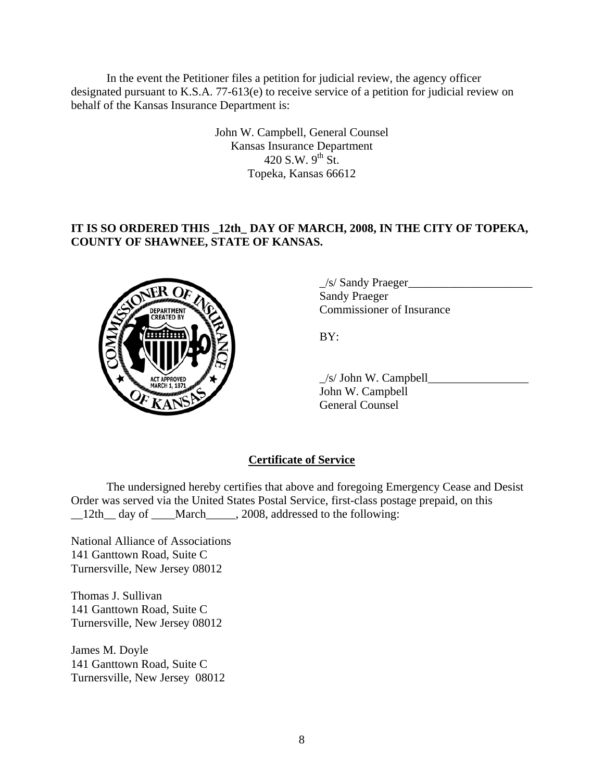In the event the Petitioner files a petition for judicial review, the agency officer designated pursuant to K.S.A. 77-613(e) to receive service of a petition for judicial review on behalf of the Kansas Insurance Department is:

> John W. Campbell, General Counsel Kansas Insurance Department 420 S.W.  $9^{th}$  St. Topeka, Kansas 66612

### **IT IS SO ORDERED THIS \_12th\_ DAY OF MARCH, 2008, IN THE CITY OF TOPEKA, COUNTY OF SHAWNEE, STATE OF KANSAS.**



 $\frac{1}{s}$  Sandy Praeger Sandy Praeger EPARTMENT VAN Commissioner of Insurance

 $\angle$ s/ John W. Campbell $\angle$  John W. Campbell General Counsel

# **Certificate of Service**

 The undersigned hereby certifies that above and foregoing Emergency Cease and Desist Order was served via the United States Postal Service, first-class postage prepaid, on this \_12th\_day of \_\_\_March\_\_\_\_, 2008, addressed to the following:

National Alliance of Associations 141 Ganttown Road, Suite C Turnersville, New Jersey 08012

Thomas J. Sullivan 141 Ganttown Road, Suite C Turnersville, New Jersey 08012

James M. Doyle 141 Ganttown Road, Suite C Turnersville, New Jersey 08012